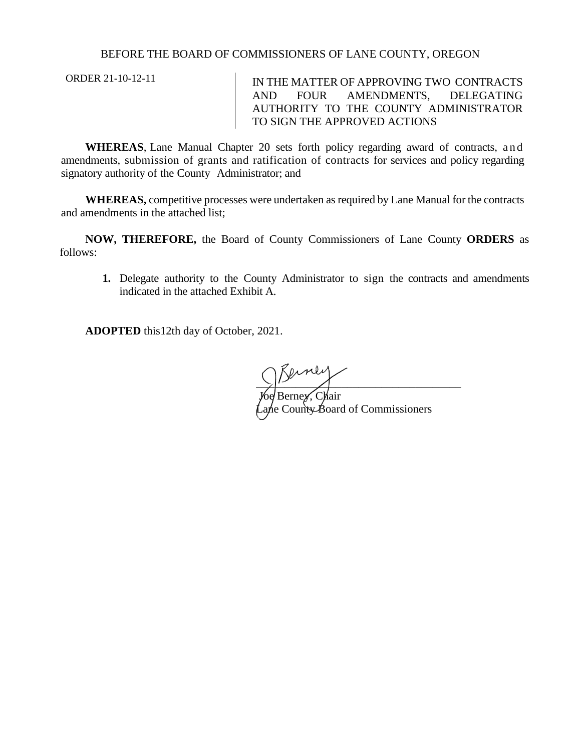## BEFORE THE BOARD OF COMMISSIONERS OF LANE COUNTY, OREGON

ORDER 21-10-12-11 IN THE MATTER OF APPROVING TWO CONTRACTS AND FOUR AMENDMENTS, DELEGATING AUTHORITY TO THE COUNTY ADMINISTRATOR TO SIGN THE APPROVED ACTIONS

**WHEREAS**, Lane Manual Chapter 20 sets forth policy regarding award of contracts, and amendments, submission of grants and ratification of contracts for services and policy regarding signatory authority of the County Administrator; and

**WHEREAS,** competitive processes were undertaken as required by Lane Manual for the contracts and amendments in the attached list;

**NOW, THEREFORE,** the Board of County Commissioners of Lane County **ORDERS** as follows:

**1.** Delegate authority to the County Administrator to sign the contracts and amendments indicated in the attached Exhibit A.

**ADOPTED** this12th day of October, 2021.

 $\sum_{i=1}^{n}$ *J*oe Berne*y*, Chair Lane County Board of Commissioners